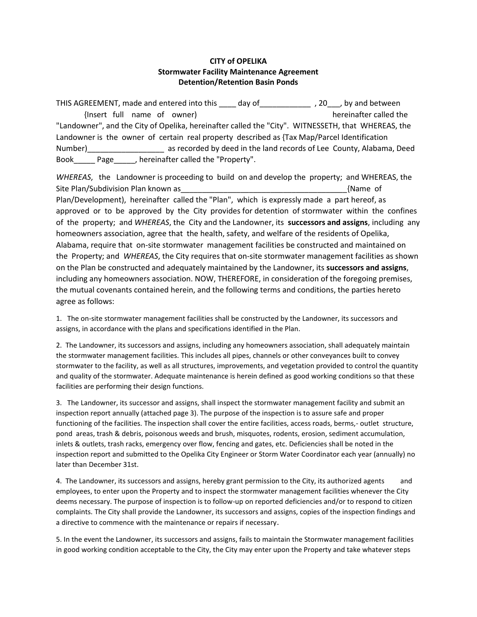## **CITY of OPELIKA Stormwater Facility Maintenance Agreement Detention/Retention Basin Ponds**

THIS AGREEMENT, made and entered into this day of the many control by and between {Insert full name of owner) hereinafter called the "Landowner", and the City of Opelika, hereinafter called the "City". WITNESSETH, that WHEREAS, the Landowner is the owner of certain real property described as {Tax Map/Parcel Identification Number)\_\_\_\_\_\_\_\_\_\_\_\_\_\_\_\_\_\_ as recorded by deed in the land records of Lee County, Alabama, Deed Book Page , hereinafter called the "Property".

*WHEREAS*, the Landowner is proceeding to build on and develop the property; and WHEREAS, the Site Plan/Subdivision Plan known as  $\{N\}$ Plan/Development), hereinafter called the "Plan", which is expressly made a part hereof, as approved or to be approved by the City provides for detention of stormwater within the confines of the property; and *WHEREAS*, the City and the Landowner, its **successors and assigns**, including any homeowners association, agree that the health, safety, and welfare of the residents of Opelika, Alabama, require that on-site stormwater management facilities be constructed and maintained on the Property; and *WHEREAS*, the City requires that on-site stormwater management facilities as shown on the Plan be constructed and adequately maintained by the Landowner, its **successors and assigns**, including any homeowners association. NOW, THEREFORE, in consideration of the foregoing premises, the mutual covenants contained herein, and the following terms and conditions, the parties hereto agree as follows:

1. The on-site stormwater management facilities shall be constructed by the Landowner, its successors and assigns, in accordance with the plans and specifications identified in the Plan.

2. The Landowner, its successors and assigns, including any homeowners association, shall adequately maintain the stormwater management facilities. This includes all pipes, channels or other conveyances built to convey stormwater to the facility, as well as all structures, improvements, and vegetation provided to control the quantity and quality of the stormwater. Adequate maintenance is herein defined as good working conditions so that these facilities are performing their design functions.

3. The Landowner, its successor and assigns, shall inspect the stormwater management facility and submit an inspection report annually (attached page 3). The purpose of the inspection is to assure safe and proper functioning of the facilities. The inspection shall cover the entire facilities, access roads, berms,- outlet structure, pond areas, trash & debris, poisonous weeds and brush, misquotes, rodents, erosion, sediment accumulation, inlets & outlets, trash racks, emergency over flow, fencing and gates, etc. Deficiencies shall be noted in the inspection report and submitted to the Opelika City Engineer or Storm Water Coordinator each year (annually) no later than December 31st.

4. The Landowner, its successors and assigns, hereby grant permission to the City, its authorized agents and employees, to enter upon the Property and to inspect the stormwater management facilities whenever the City deems necessary. The purpose of inspection is to follow-up on reported deficiencies and/or to respond to citizen complaints. The City shall provide the Landowner, its successors and assigns, copies of the inspection findings and a directive to commence with the maintenance or repairs if necessary.

5. In the event the Landowner, its successors and assigns, fails to maintain the Stormwater management facilities in good working condition acceptable to the City, the City may enter upon the Property and take whatever steps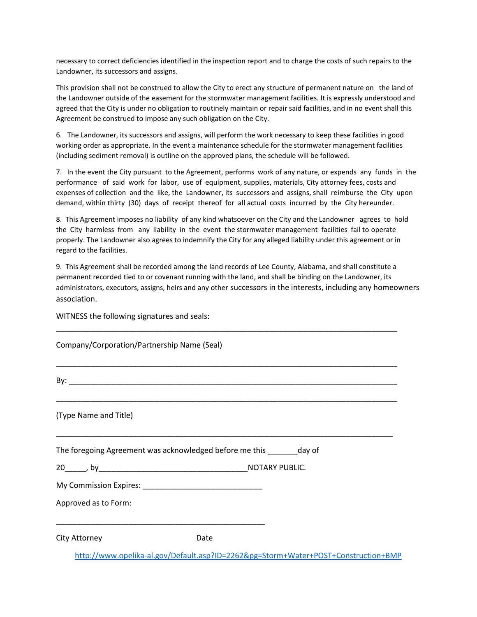necessary to correct deficiencies identified in the inspection report and to charge the costs of such repairs to the Landowner, its successors and assigns.

This provision shall not be construed to allow the City to erect any structure of permanent nature on the land of the Landowner outside of the easement for the stormwater management facilities. It is expressly understood and agreed that the City is under no obligation to routinely maintain or repair said facilities, and in no event shall this Agreement be construed to impose any such obligation on the City.

6. The Landowner, its successors and assigns, will perform the work necessary to keep these facilities in good working order as appropriate. In the event a maintenance schedule for the stormwater management facilities (including sediment removal) is outline on the approved plans, the schedule will be followed.

7. In the event the City pursuant to the Agreement, performs work of any nature, or expends any funds in the performance of said work for labor, use of equipment, supplies, materials, City attorney fees, costs and expenses of collection and the like, the Landowner, its successors and assigns, shall reimburse the City upon demand, within thirty (30) days of receipt thereof for all actual costs incurred by the City hereunder.

8. This Agreement imposes no liability of any kind whatsoever on the City and the Landowner agrees to hold the City harmless from any liability in the event the stormwater management facilities fail to operate properly. The Landowner also agrees to indemnify the City for any alleged liability under this agreement or in regard to the facilities.

9. This Agreement shall be recorded among the land records of Lee County, Alabama, and shall constitute a permanent recorded tied to or covenant running with the land, and shall be binding on the Landowner, its administrators, executors, assigns, heirs and any other successors in the interests, including any homeowners association.

\_\_\_\_\_\_\_\_\_\_\_\_\_\_\_\_\_\_\_\_\_\_\_\_\_\_\_\_\_\_\_\_\_\_\_\_\_\_\_\_\_\_\_\_\_\_\_\_\_\_\_\_\_\_\_\_\_\_\_\_\_\_\_\_\_\_\_\_\_\_\_\_\_\_\_\_\_\_\_\_

WITNESS the following signatures and seals:

Company/Corporation/Partnership Name (Seal) \_\_\_\_\_\_\_\_\_\_\_\_\_\_\_\_\_\_\_\_\_\_\_\_\_\_\_\_\_\_\_\_\_\_\_\_\_\_\_\_\_\_\_\_\_\_\_\_\_\_\_\_\_\_\_\_\_\_\_\_\_\_\_\_\_\_\_\_\_\_\_\_\_\_\_\_\_\_\_\_ By: \_\_\_\_\_\_\_\_\_\_\_\_\_\_\_\_\_\_\_\_\_\_\_\_\_\_\_\_\_\_\_\_\_\_\_\_\_\_\_\_\_\_\_\_\_\_\_\_\_\_\_\_\_\_\_\_\_\_\_\_\_\_\_\_\_\_\_\_\_\_\_\_\_\_\_\_\_ \_\_\_\_\_\_\_\_\_\_\_\_\_\_\_\_\_\_\_\_\_\_\_\_\_\_\_\_\_\_\_\_\_\_\_\_\_\_\_\_\_\_\_\_\_\_\_\_\_\_\_\_\_\_\_\_\_\_\_\_\_\_\_\_\_\_\_\_\_\_\_\_\_\_\_\_\_\_\_\_ (Type Name and Title) \_\_\_\_\_\_\_\_\_\_\_\_\_\_\_\_\_\_\_\_\_\_\_\_\_\_\_\_\_\_\_\_\_\_\_\_\_\_\_\_\_\_\_\_\_\_\_\_\_\_\_\_\_\_\_\_\_\_\_\_\_\_\_\_\_\_\_\_\_\_\_\_\_\_\_\_\_\_\_ The foregoing Agreement was acknowledged before me this day of 20 by the contract of the contract of the NOTARY PUBLIC. My Commission Expires: Approved as to Form: \_\_\_\_\_\_\_\_\_\_\_\_\_\_\_\_\_\_\_\_\_\_\_\_\_\_\_\_\_\_\_\_\_\_\_\_\_\_\_\_\_\_\_\_\_\_\_\_\_ City Attorney **Date** <http://www.opelika-al.gov/Default.asp?ID=2262&pg=Storm+Water+POST+Construction+BMP>